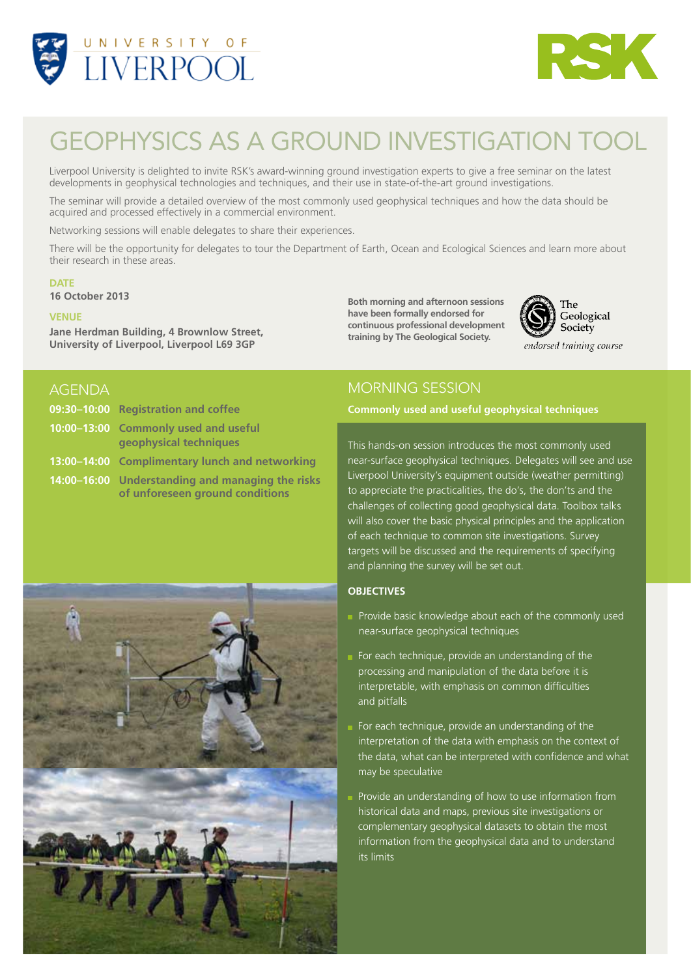



# Geophysics as a ground investigation tool

Liverpool University is delighted to invite RSK's award-winning ground investigation experts to give a free seminar on the latest developments in geophysical technologies and techniques, and their use in state-of-the-art ground investigations.

The seminar will provide a detailed overview of the most commonly used geophysical techniques and how the data should be acquired and processed effectively in a commercial environment.

Networking sessions will enable delegates to share their experiences.

There will be the opportunity for delegates to tour the Department of Earth, Ocean and Ecological Sciences and learn more about their research in these areas.

#### **DATE**

**16 October 2013**

#### **Venue**

**Jane Herdman Building, 4 Brownlow Street, University of Liverpool, Liverpool L69 3GP**

**Both morning and afternoon sessions have been formally endorsed for continuous professional development training by The Geological Society.**



# **AGENDA**

| 09:30-10:00 Registration and coffee                                                 |
|-------------------------------------------------------------------------------------|
| 10:00-13:00 Commonly used and useful<br>geophysical techniques                      |
| 13:00-14:00 Complimentary lunch and networking                                      |
| 14:00-16:00 Understanding and managing the risks<br>of unforeseen ground conditions |

# Morning session

## **09:30–10:00 Registration and coffee Commonly used and useful geophysical techniques**

This hands-on session introduces the most commonly used near-surface geophysical techniques. Delegates will see and use Liverpool University's equipment outside (weather permitting) to appreciate the practicalities, the do's, the don'ts and the challenges of collecting good geophysical data. Toolbox talks will also cover the basic physical principles and the application of each technique to common site investigations. Survey targets will be discussed and the requirements of specifying and planning the survey will be set out.

## **Objectives**

- Provide basic knowledge about each of the commonly used near-surface geophysical techniques
- For each technique, provide an understanding of the processing and manipulation of the data before it is interpretable, with emphasis on common difficulties and pitfalls
- For each technique, provide an understanding of the interpretation of the data with emphasis on the context of the data, what can be interpreted with confidence and what may be speculative
- Provide an understanding of how to use information from historical data and maps, previous site investigations or complementary geophysical datasets to obtain the most information from the geophysical data and to understand its limits